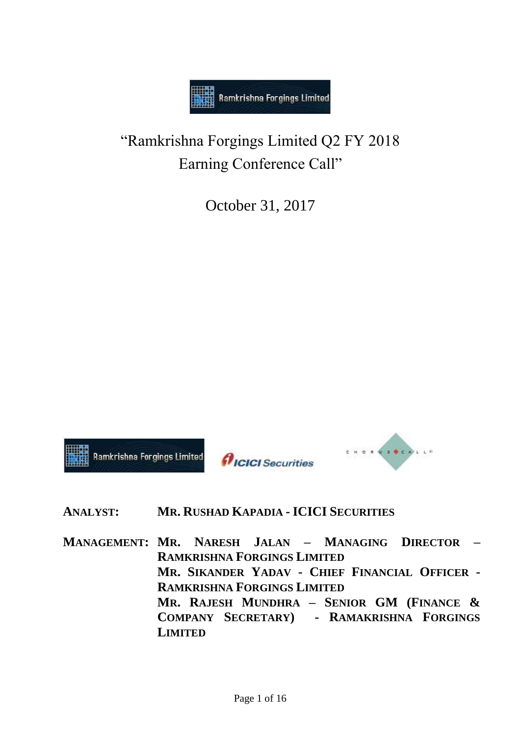

"Ramkrishna Forgings Limited Q2 FY 2018 Earning Conference Call"

October 31, 2017



# **ANALYST: MR. RUSHAD KAPADIA - ICICI SECURITIES**

**MANAGEMENT: MR. NARESH JALAN – MANAGING DIRECTOR – RAMKRISHNA FORGINGS LIMITED MR. SIKANDER YADAV - CHIEF FINANCIAL OFFICER - RAMKRISHNA FORGINGS LIMITED MR. RAJESH MUNDHRA – SENIOR GM (FINANCE & COMPANY SECRETARY) - RAMAKRISHNA FORGINGS LIMITED**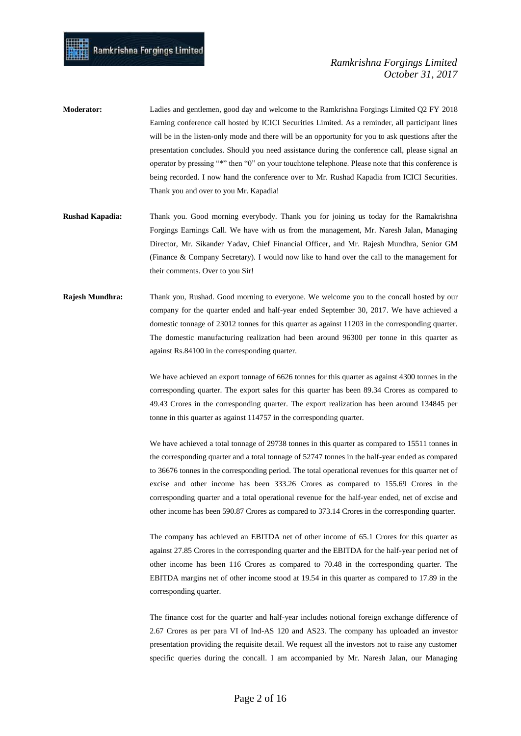| <b>Moderator:</b> | Ladies and gentlemen, good day and welcome to the Ramkrishna Forgings Limited Q2 FY 2018            |
|-------------------|-----------------------------------------------------------------------------------------------------|
|                   | Earning conference call hosted by ICICI Securities Limited. As a reminder, all participant lines    |
|                   | will be in the listen-only mode and there will be an opportunity for you to ask questions after the |
|                   | presentation concludes. Should you need assistance during the conference call, please signal an     |
|                   | operator by pressing "*" then "0" on your touchtone telephone. Please note that this conference is  |
|                   | being recorded. I now hand the conference over to Mr. Rushad Kapadia from ICICI Securities.         |
|                   | Thank you and over to you Mr. Kapadia!                                                              |
|                   |                                                                                                     |

- **Rushad Kapadia:** Thank you. Good morning everybody. Thank you for joining us today for the Ramakrishna Forgings Earnings Call. We have with us from the management, Mr. Naresh Jalan, Managing Director, Mr. Sikander Yadav, Chief Financial Officer, and Mr. Rajesh Mundhra, Senior GM (Finance & Company Secretary). I would now like to hand over the call to the management for their comments. Over to you Sir!
- **Rajesh Mundhra:** Thank you, Rushad. Good morning to everyone. We welcome you to the concall hosted by our company for the quarter ended and half-year ended September 30, 2017. We have achieved a domestic tonnage of 23012 tonnes for this quarter as against 11203 in the corresponding quarter. The domestic manufacturing realization had been around 96300 per tonne in this quarter as against Rs.84100 in the corresponding quarter.

We have achieved an export tonnage of 6626 tonnes for this quarter as against 4300 tonnes in the corresponding quarter. The export sales for this quarter has been 89.34 Crores as compared to 49.43 Crores in the corresponding quarter. The export realization has been around 134845 per tonne in this quarter as against 114757 in the corresponding quarter.

We have achieved a total tonnage of 29738 tonnes in this quarter as compared to 15511 tonnes in the corresponding quarter and a total tonnage of 52747 tonnes in the half-year ended as compared to 36676 tonnes in the corresponding period. The total operational revenues for this quarter net of excise and other income has been 333.26 Crores as compared to 155.69 Crores in the corresponding quarter and a total operational revenue for the half-year ended, net of excise and other income has been 590.87 Crores as compared to 373.14 Crores in the corresponding quarter.

The company has achieved an EBITDA net of other income of 65.1 Crores for this quarter as against 27.85 Crores in the corresponding quarter and the EBITDA for the half-year period net of other income has been 116 Crores as compared to 70.48 in the corresponding quarter. The EBITDA margins net of other income stood at 19.54 in this quarter as compared to 17.89 in the corresponding quarter.

The finance cost for the quarter and half-year includes notional foreign exchange difference of 2.67 Crores as per para VI of Ind-AS 120 and AS23. The company has uploaded an investor presentation providing the requisite detail. We request all the investors not to raise any customer specific queries during the concall. I am accompanied by Mr. Naresh Jalan, our Managing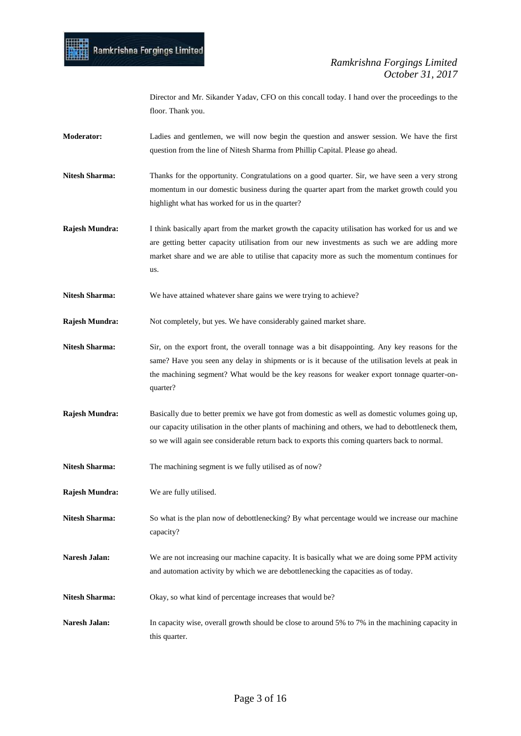Director and Mr. Sikander Yadav, CFO on this concall today. I hand over the proceedings to the floor. Thank you.

- **Moderator:** Ladies and gentlemen, we will now begin the question and answer session. We have the first question from the line of Nitesh Sharma from Phillip Capital. Please go ahead.
- **Nitesh Sharma:** Thanks for the opportunity. Congratulations on a good quarter. Sir, we have seen a very strong momentum in our domestic business during the quarter apart from the market growth could you highlight what has worked for us in the quarter?
- **Rajesh Mundra:** I think basically apart from the market growth the capacity utilisation has worked for us and we are getting better capacity utilisation from our new investments as such we are adding more market share and we are able to utilise that capacity more as such the momentum continues for us.
- Nitesh Sharma: We have attained whatever share gains we were trying to achieve?

**Rajesh Mundra:** Not completely, but yes. We have considerably gained market share.

- **Nitesh Sharma:** Sir, on the export front, the overall tonnage was a bit disappointing. Any key reasons for the same? Have you seen any delay in shipments or is it because of the utilisation levels at peak in the machining segment? What would be the key reasons for weaker export tonnage quarter-onquarter?
- **Rajesh Mundra:** Basically due to better premix we have got from domestic as well as domestic volumes going up, our capacity utilisation in the other plants of machining and others, we had to debottleneck them, so we will again see considerable return back to exports this coming quarters back to normal.
- Nitesh Sharma: The machining segment is we fully utilised as of now?
- **Rajesh Mundra:** We are fully utilised.
- **Nitesh Sharma:** So what is the plan now of debottlenecking? By what percentage would we increase our machine capacity?
- Naresh Jalan: We are not increasing our machine capacity. It is basically what we are doing some PPM activity and automation activity by which we are debottlenecking the capacities as of today.
- Nitesh Sharma: Okay, so what kind of percentage increases that would be?
- **Naresh Jalan:** In capacity wise, overall growth should be close to around 5% to 7% in the machining capacity in this quarter.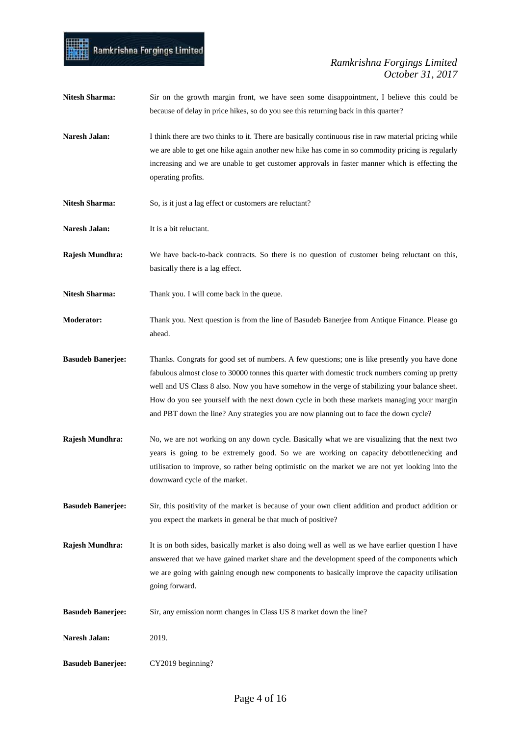

- **Nitesh Sharma:** Sir on the growth margin front, we have seen some disappointment, I believe this could be because of delay in price hikes, so do you see this returning back in this quarter?
- **Naresh Jalan:** I think there are two thinks to it. There are basically continuous rise in raw material pricing while we are able to get one hike again another new hike has come in so commodity pricing is regularly increasing and we are unable to get customer approvals in faster manner which is effecting the operating profits.
- Nitesh Sharma: So, is it just a lag effect or customers are reluctant?
- **Naresh Jalan:** It is a bit reluctant.
- **Rajesh Mundhra:** We have back-to-back contracts. So there is no question of customer being reluctant on this, basically there is a lag effect.
- **Nitesh Sharma:** Thank you. I will come back in the queue.
- **Moderator:** Thank you. Next question is from the line of Basudeb Banerjee from Antique Finance. Please go ahead.
- **Basudeb Banerjee:** Thanks. Congrats for good set of numbers. A few questions; one is like presently you have done fabulous almost close to 30000 tonnes this quarter with domestic truck numbers coming up pretty well and US Class 8 also. Now you have somehow in the verge of stabilizing your balance sheet. How do you see yourself with the next down cycle in both these markets managing your margin and PBT down the line? Any strategies you are now planning out to face the down cycle?
- **Rajesh Mundhra:** No, we are not working on any down cycle. Basically what we are visualizing that the next two years is going to be extremely good. So we are working on capacity debottlenecking and utilisation to improve, so rather being optimistic on the market we are not yet looking into the downward cycle of the market.
- **Basudeb Banerjee:** Sir, this positivity of the market is because of your own client addition and product addition or you expect the markets in general be that much of positive?
- **Rajesh Mundhra:** It is on both sides, basically market is also doing well as well as we have earlier question I have answered that we have gained market share and the development speed of the components which we are going with gaining enough new components to basically improve the capacity utilisation going forward.
- **Basudeb Banerjee:** Sir, any emission norm changes in Class US 8 market down the line?
- **Naresh Jalan:** 2019.
- **Basudeb Banerjee:** CY2019 beginning?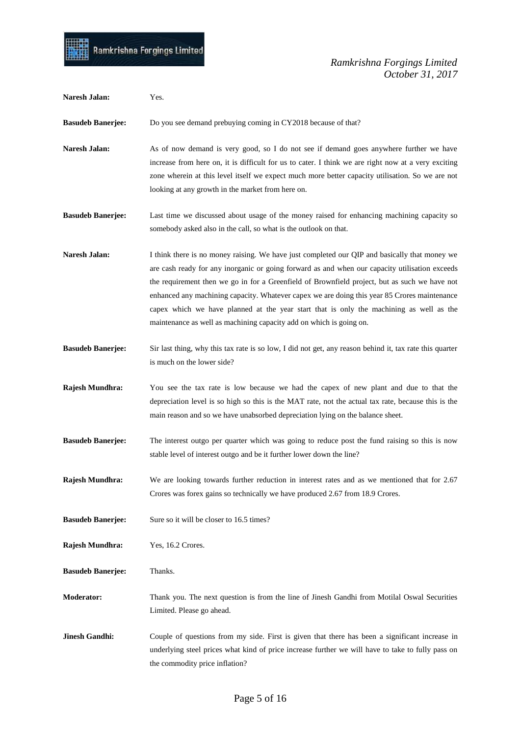

| Naresh Jalan:            | Yes.                                                                                                                                                                                                                                                                                                                                                                                                                                                                                                                                                               |
|--------------------------|--------------------------------------------------------------------------------------------------------------------------------------------------------------------------------------------------------------------------------------------------------------------------------------------------------------------------------------------------------------------------------------------------------------------------------------------------------------------------------------------------------------------------------------------------------------------|
| <b>Basudeb Banerjee:</b> | Do you see demand prebuying coming in CY2018 because of that?                                                                                                                                                                                                                                                                                                                                                                                                                                                                                                      |
| Naresh Jalan:            | As of now demand is very good, so I do not see if demand goes anywhere further we have<br>increase from here on, it is difficult for us to cater. I think we are right now at a very exciting<br>zone wherein at this level itself we expect much more better capacity utilisation. So we are not<br>looking at any growth in the market from here on.                                                                                                                                                                                                             |
| <b>Basudeb Banerjee:</b> | Last time we discussed about usage of the money raised for enhancing machining capacity so<br>somebody asked also in the call, so what is the outlook on that.                                                                                                                                                                                                                                                                                                                                                                                                     |
| Naresh Jalan:            | I think there is no money raising. We have just completed our QIP and basically that money we<br>are cash ready for any inorganic or going forward as and when our capacity utilisation exceeds<br>the requirement then we go in for a Greenfield of Brownfield project, but as such we have not<br>enhanced any machining capacity. Whatever capex we are doing this year 85 Crores maintenance<br>capex which we have planned at the year start that is only the machining as well as the<br>maintenance as well as machining capacity add on which is going on. |
| <b>Basudeb Banerjee:</b> | Sir last thing, why this tax rate is so low, I did not get, any reason behind it, tax rate this quarter<br>is much on the lower side?                                                                                                                                                                                                                                                                                                                                                                                                                              |
| Rajesh Mundhra:          | You see the tax rate is low because we had the capex of new plant and due to that the<br>depreciation level is so high so this is the MAT rate, not the actual tax rate, because this is the<br>main reason and so we have unabsorbed depreciation lying on the balance sheet.                                                                                                                                                                                                                                                                                     |
| <b>Basudeb Banerjee:</b> | The interest outgo per quarter which was going to reduce post the fund raising so this is now<br>stable level of interest outgo and be it further lower down the line?                                                                                                                                                                                                                                                                                                                                                                                             |
| Rajesh Mundhra:          | We are looking towards further reduction in interest rates and as we mentioned that for 2.67<br>Crores was forex gains so technically we have produced 2.67 from 18.9 Crores.                                                                                                                                                                                                                                                                                                                                                                                      |
| <b>Basudeb Banerjee:</b> | Sure so it will be closer to 16.5 times?                                                                                                                                                                                                                                                                                                                                                                                                                                                                                                                           |
| Rajesh Mundhra:          | Yes, 16.2 Crores.                                                                                                                                                                                                                                                                                                                                                                                                                                                                                                                                                  |
| <b>Basudeb Banerjee:</b> | Thanks.                                                                                                                                                                                                                                                                                                                                                                                                                                                                                                                                                            |
| <b>Moderator:</b>        | Thank you. The next question is from the line of Jinesh Gandhi from Motilal Oswal Securities<br>Limited. Please go ahead.                                                                                                                                                                                                                                                                                                                                                                                                                                          |
| <b>Jinesh Gandhi:</b>    | Couple of questions from my side. First is given that there has been a significant increase in<br>underlying steel prices what kind of price increase further we will have to take to fully pass on<br>the commodity price inflation?                                                                                                                                                                                                                                                                                                                              |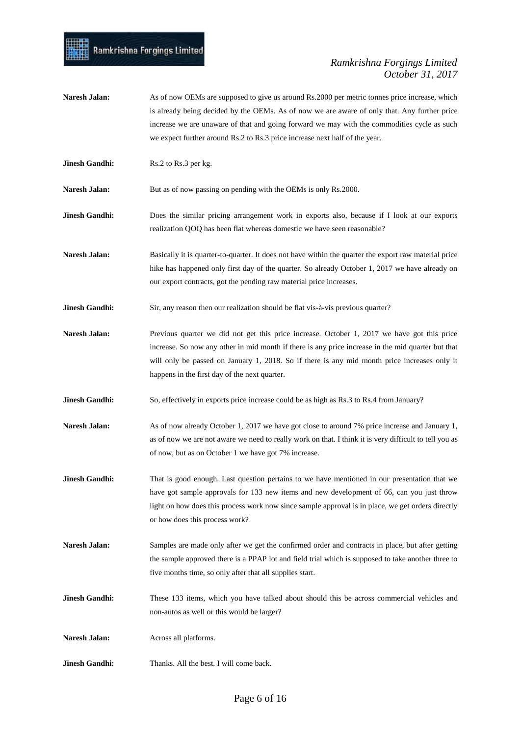- **Naresh Jalan:** As of now OEMs are supposed to give us around Rs.2000 per metric tonnes price increase, which is already being decided by the OEMs. As of now we are aware of only that. Any further price increase we are unaware of that and going forward we may with the commodities cycle as such we expect further around Rs.2 to Rs.3 price increase next half of the year.
- **Jinesh Gandhi:** Rs.2 to Rs.3 per kg.

**Naresh Jalan:** But as of now passing on pending with the OEMs is only Rs.2000.

**Jinesh Gandhi:** Does the similar pricing arrangement work in exports also, because if I look at our exports realization QOQ has been flat whereas domestic we have seen reasonable?

- **Naresh Jalan:** Basically it is quarter-to-quarter. It does not have within the quarter the export raw material price hike has happened only first day of the quarter. So already October 1, 2017 we have already on our export contracts, got the pending raw material price increases.
- **Jinesh Gandhi:** Sir, any reason then our realization should be flat vis-à-vis previous quarter?
- Naresh Jalan: Previous quarter we did not get this price increase. October 1, 2017 we have got this price increase. So now any other in mid month if there is any price increase in the mid quarter but that will only be passed on January 1, 2018. So if there is any mid month price increases only it happens in the first day of the next quarter.
- **Jinesh Gandhi:** So, effectively in exports price increase could be as high as Rs.3 to Rs.4 from January?
- Naresh Jalan: As of now already October 1, 2017 we have got close to around 7% price increase and January 1, as of now we are not aware we need to really work on that. I think it is very difficult to tell you as of now, but as on October 1 we have got 7% increase.
- **Jinesh Gandhi:** That is good enough. Last question pertains to we have mentioned in our presentation that we have got sample approvals for 133 new items and new development of 66, can you just throw light on how does this process work now since sample approval is in place, we get orders directly or how does this process work?
- **Naresh Jalan:** Samples are made only after we get the confirmed order and contracts in place, but after getting the sample approved there is a PPAP lot and field trial which is supposed to take another three to five months time, so only after that all supplies start.
- **Jinesh Gandhi:** These 133 items, which you have talked about should this be across commercial vehicles and non-autos as well or this would be larger?

**Naresh Jalan:** Across all platforms.

**Jinesh Gandhi:** Thanks. All the best. I will come back.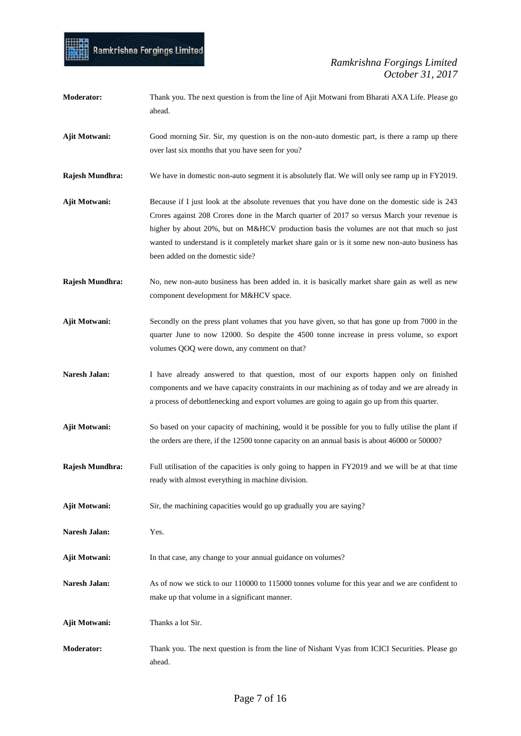## mil Ramkrishna Forgings Limited

| <b>Moderator:</b>    | Thank you. The next question is from the line of Ajit Motwani from Bharati AXA Life. Please go<br>ahead.                                                                                                                                                                                                                                                                                                                         |
|----------------------|----------------------------------------------------------------------------------------------------------------------------------------------------------------------------------------------------------------------------------------------------------------------------------------------------------------------------------------------------------------------------------------------------------------------------------|
| Ajit Motwani:        | Good morning Sir. Sir, my question is on the non-auto domestic part, is there a ramp up there<br>over last six months that you have seen for you?                                                                                                                                                                                                                                                                                |
| Rajesh Mundhra:      | We have in domestic non-auto segment it is absolutely flat. We will only see ramp up in FY2019.                                                                                                                                                                                                                                                                                                                                  |
| <b>Ajit Motwani:</b> | Because if I just look at the absolute revenues that you have done on the domestic side is 243<br>Crores against 208 Crores done in the March quarter of 2017 so versus March your revenue is<br>higher by about 20%, but on M&HCV production basis the volumes are not that much so just<br>wanted to understand is it completely market share gain or is it some new non-auto business has<br>been added on the domestic side? |
| Rajesh Mundhra:      | No, new non-auto business has been added in. it is basically market share gain as well as new<br>component development for M&HCV space.                                                                                                                                                                                                                                                                                          |
| <b>Ajit Motwani:</b> | Secondly on the press plant volumes that you have given, so that has gone up from 7000 in the<br>quarter June to now 12000. So despite the 4500 tonne increase in press volume, so export<br>volumes QOQ were down, any comment on that?                                                                                                                                                                                         |
| Naresh Jalan:        | I have already answered to that question, most of our exports happen only on finished<br>components and we have capacity constraints in our machining as of today and we are already in<br>a process of debottlenecking and export volumes are going to again go up from this quarter.                                                                                                                                           |
| Ajit Motwani:        | So based on your capacity of machining, would it be possible for you to fully utilise the plant if<br>the orders are there, if the 12500 tonne capacity on an annual basis is about 46000 or 50000?                                                                                                                                                                                                                              |
| Rajesh Mundhra:      | Full utilisation of the capacities is only going to happen in FY2019 and we will be at that time<br>ready with almost everything in machine division.                                                                                                                                                                                                                                                                            |
| Ajit Motwani:        | Sir, the machining capacities would go up gradually you are saying?                                                                                                                                                                                                                                                                                                                                                              |
| Naresh Jalan:        | Yes.                                                                                                                                                                                                                                                                                                                                                                                                                             |
| Ajit Motwani:        | In that case, any change to your annual guidance on volumes?                                                                                                                                                                                                                                                                                                                                                                     |
| Naresh Jalan:        | As of now we stick to our 110000 to 115000 tonnes volume for this year and we are confident to<br>make up that volume in a significant manner.                                                                                                                                                                                                                                                                                   |
| Ajit Motwani:        | Thanks a lot Sir.                                                                                                                                                                                                                                                                                                                                                                                                                |
| <b>Moderator:</b>    | Thank you. The next question is from the line of Nishant Vyas from ICICI Securities. Please go<br>ahead.                                                                                                                                                                                                                                                                                                                         |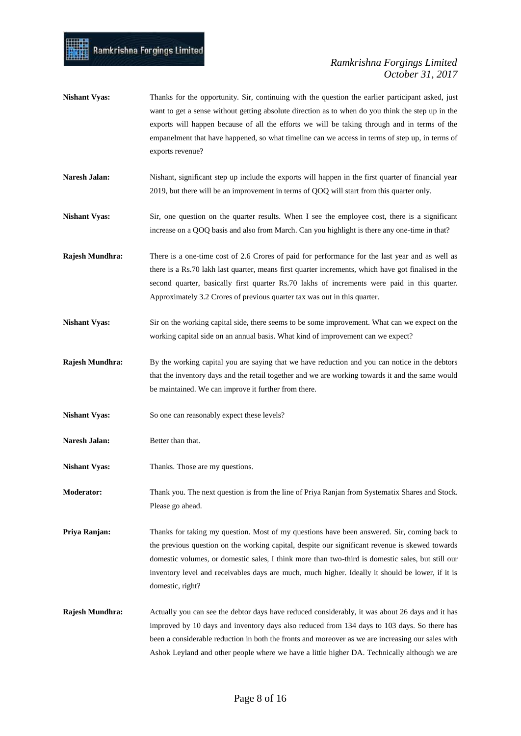- **Nishant Vyas:** Thanks for the opportunity. Sir, continuing with the question the earlier participant asked, just want to get a sense without getting absolute direction as to when do you think the step up in the exports will happen because of all the efforts we will be taking through and in terms of the empanelment that have happened, so what timeline can we access in terms of step up, in terms of exports revenue?
- **Naresh Jalan:** Nishant, significant step up include the exports will happen in the first quarter of financial year 2019, but there will be an improvement in terms of QOQ will start from this quarter only.
- **Nishant Vyas:** Sir, one question on the quarter results. When I see the employee cost, there is a significant increase on a QOQ basis and also from March. Can you highlight is there any one-time in that?
- **Rajesh Mundhra:** There is a one-time cost of 2.6 Crores of paid for performance for the last year and as well as there is a Rs.70 lakh last quarter, means first quarter increments, which have got finalised in the second quarter, basically first quarter Rs.70 lakhs of increments were paid in this quarter. Approximately 3.2 Crores of previous quarter tax was out in this quarter.
- **Nishant Vyas:** Sir on the working capital side, there seems to be some improvement. What can we expect on the working capital side on an annual basis. What kind of improvement can we expect?
- **Rajesh Mundhra:** By the working capital you are saying that we have reduction and you can notice in the debtors that the inventory days and the retail together and we are working towards it and the same would be maintained. We can improve it further from there.
- Nishant Vyas: So one can reasonably expect these levels?
- Naresh Jalan: Better than that.
- **Nishant Vyas:** Thanks. Those are my questions.

**Moderator:** Thank you. The next question is from the line of Priya Ranjan from Systematix Shares and Stock. Please go ahead.

**Priya Ranjan:** Thanks for taking my question. Most of my questions have been answered. Sir, coming back to the previous question on the working capital, despite our significant revenue is skewed towards domestic volumes, or domestic sales, I think more than two-third is domestic sales, but still our inventory level and receivables days are much, much higher. Ideally it should be lower, if it is domestic, right?

**Rajesh Mundhra:** Actually you can see the debtor days have reduced considerably, it was about 26 days and it has improved by 10 days and inventory days also reduced from 134 days to 103 days. So there has been a considerable reduction in both the fronts and moreover as we are increasing our sales with Ashok Leyland and other people where we have a little higher DA. Technically although we are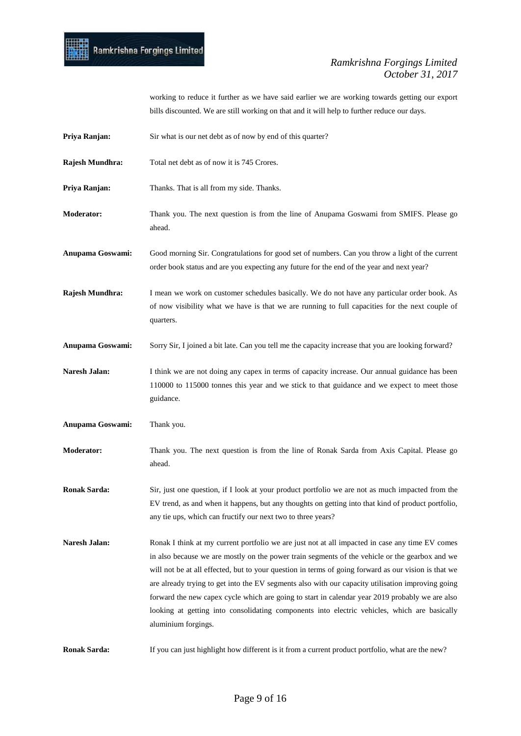

working to reduce it further as we have said earlier we are working towards getting our export bills discounted. We are still working on that and it will help to further reduce our days.

- **Priya Ranjan:** Sir what is our net debt as of now by end of this quarter?
- **Rajesh Mundhra:** Total net debt as of now it is 745 Crores.
- **Priya Ranjan:** Thanks. That is all from my side. Thanks.
- **Moderator:** Thank you. The next question is from the line of Anupama Goswami from SMIFS. Please go ahead.

**Anupama Goswami:** Good morning Sir. Congratulations for good set of numbers. Can you throw a light of the current order book status and are you expecting any future for the end of the year and next year?

**Rajesh Mundhra:** I mean we work on customer schedules basically. We do not have any particular order book. As of now visibility what we have is that we are running to full capacities for the next couple of quarters.

**Anupama Goswami:** Sorry Sir, I joined a bit late. Can you tell me the capacity increase that you are looking forward?

Naresh Jalan: I think we are not doing any capex in terms of capacity increase. Our annual guidance has been 110000 to 115000 tonnes this year and we stick to that guidance and we expect to meet those guidance.

**Anupama Goswami:** Thank you.

**Moderator:** Thank you. The next question is from the line of Ronak Sarda from Axis Capital. Please go ahead.

**Ronak Sarda:** Sir, just one question, if I look at your product portfolio we are not as much impacted from the EV trend, as and when it happens, but any thoughts on getting into that kind of product portfolio, any tie ups, which can fructify our next two to three years?

**Naresh Jalan:** Ronak I think at my current portfolio we are just not at all impacted in case any time EV comes in also because we are mostly on the power train segments of the vehicle or the gearbox and we will not be at all effected, but to your question in terms of going forward as our vision is that we are already trying to get into the EV segments also with our capacity utilisation improving going forward the new capex cycle which are going to start in calendar year 2019 probably we are also looking at getting into consolidating components into electric vehicles, which are basically aluminium forgings.

**Ronak Sarda:** If you can just highlight how different is it from a current product portfolio, what are the new?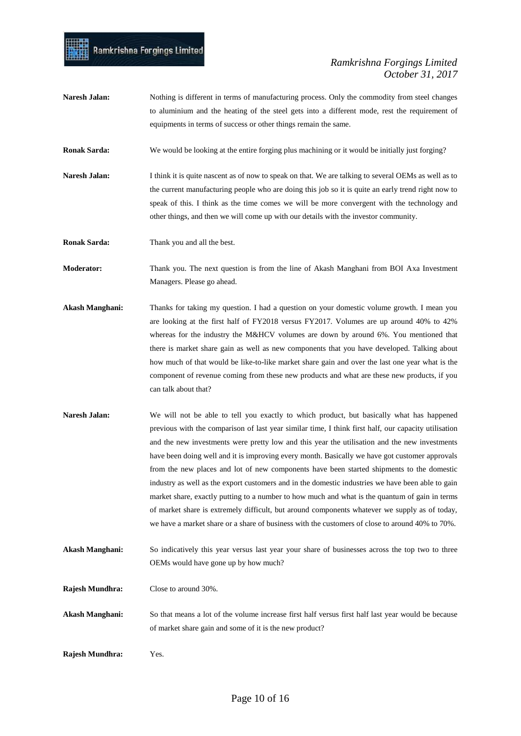Naresh Jalan: Nothing is different in terms of manufacturing process. Only the commodity from steel changes to aluminium and the heating of the steel gets into a different mode, rest the requirement of equipments in terms of success or other things remain the same.

**Ronak Sarda:** We would be looking at the entire forging plus machining or it would be initially just forging?

**Naresh Jalan:** I think it is quite nascent as of now to speak on that. We are talking to several OEMs as well as to the current manufacturing people who are doing this job so it is quite an early trend right now to speak of this. I think as the time comes we will be more convergent with the technology and other things, and then we will come up with our details with the investor community.

**Ronak Sarda:** Thank you and all the best.

**Moderator:** Thank you. The next question is from the line of Akash Manghani from BOI Axa Investment Managers. Please go ahead.

- **Akash Manghani:** Thanks for taking my question. I had a question on your domestic volume growth. I mean you are looking at the first half of FY2018 versus FY2017. Volumes are up around 40% to 42% whereas for the industry the M&HCV volumes are down by around 6%. You mentioned that there is market share gain as well as new components that you have developed. Talking about how much of that would be like-to-like market share gain and over the last one year what is the component of revenue coming from these new products and what are these new products, if you can talk about that?
- Naresh Jalan: We will not be able to tell you exactly to which product, but basically what has happened previous with the comparison of last year similar time, I think first half, our capacity utilisation and the new investments were pretty low and this year the utilisation and the new investments have been doing well and it is improving every month. Basically we have got customer approvals from the new places and lot of new components have been started shipments to the domestic industry as well as the export customers and in the domestic industries we have been able to gain market share, exactly putting to a number to how much and what is the quantum of gain in terms of market share is extremely difficult, but around components whatever we supply as of today, we have a market share or a share of business with the customers of close to around 40% to 70%.
- **Akash Manghani:** So indicatively this year versus last year your share of businesses across the top two to three OEMs would have gone up by how much?
- **Rajesh Mundhra:** Close to around 30%.
- **Akash Manghani:** So that means a lot of the volume increase first half versus first half last year would be because of market share gain and some of it is the new product?
- **Rajesh Mundhra:** Yes.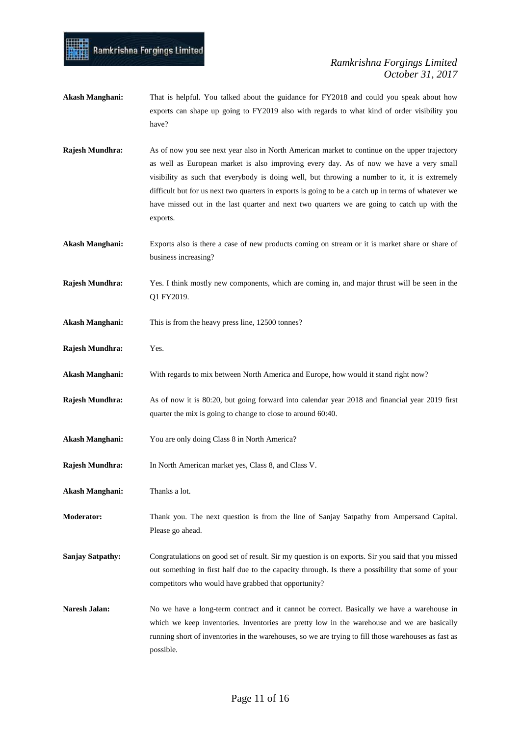- **Akash Manghani:** That is helpful. You talked about the guidance for FY2018 and could you speak about how exports can shape up going to FY2019 also with regards to what kind of order visibility you have?
- **Rajesh Mundhra:** As of now you see next year also in North American market to continue on the upper trajectory as well as European market is also improving every day. As of now we have a very small visibility as such that everybody is doing well, but throwing a number to it, it is extremely difficult but for us next two quarters in exports is going to be a catch up in terms of whatever we have missed out in the last quarter and next two quarters we are going to catch up with the exports.
- **Akash Manghani:** Exports also is there a case of new products coming on stream or it is market share or share of business increasing?
- **Rajesh Mundhra:** Yes. I think mostly new components, which are coming in, and major thrust will be seen in the Q1 FY2019.
- **Akash Manghani:** This is from the heavy press line, 12500 tonnes?

Ramkrishna Forgings Limited

- **Rajesh Mundhra:** Yes.
- **Akash Manghani:** With regards to mix between North America and Europe, how would it stand right now?
- **Rajesh Mundhra:** As of now it is 80:20, but going forward into calendar year 2018 and financial year 2019 first quarter the mix is going to change to close to around 60:40.
- **Akash Manghani:** You are only doing Class 8 in North America?
- **Rajesh Mundhra:** In North American market yes, Class 8, and Class V.
- **Akash Manghani:** Thanks a lot.
- **Moderator:** Thank you. The next question is from the line of Sanjay Satpathy from Ampersand Capital. Please go ahead.
- **Sanjay Satpathy:** Congratulations on good set of result. Sir my question is on exports. Sir you said that you missed out something in first half due to the capacity through. Is there a possibility that some of your competitors who would have grabbed that opportunity?
- Naresh Jalan: No we have a long-term contract and it cannot be correct. Basically we have a warehouse in which we keep inventories. Inventories are pretty low in the warehouse and we are basically running short of inventories in the warehouses, so we are trying to fill those warehouses as fast as possible.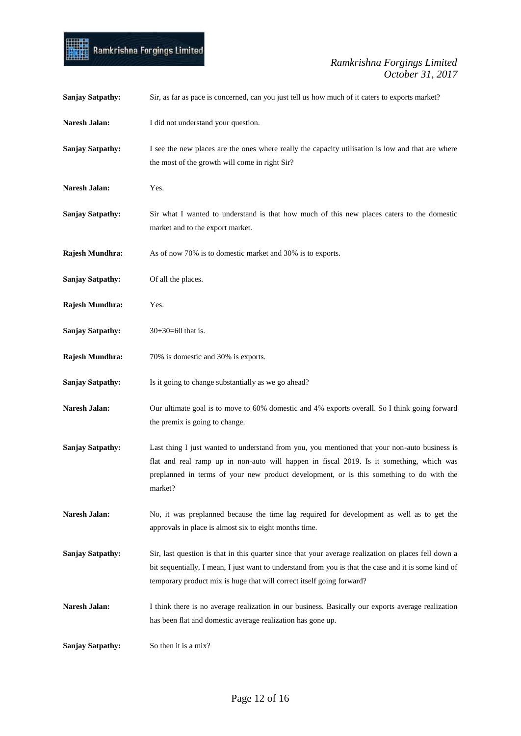

| <b>Sanjay Satpathy:</b> | Sir, as far as pace is concerned, can you just tell us how much of it caters to exports market?                                                                                                                                                                                                  |
|-------------------------|--------------------------------------------------------------------------------------------------------------------------------------------------------------------------------------------------------------------------------------------------------------------------------------------------|
| Naresh Jalan:           | I did not understand your question.                                                                                                                                                                                                                                                              |
| <b>Sanjay Satpathy:</b> | I see the new places are the ones where really the capacity utilisation is low and that are where<br>the most of the growth will come in right Sir?                                                                                                                                              |
| Naresh Jalan:           | Yes.                                                                                                                                                                                                                                                                                             |
| <b>Sanjay Satpathy:</b> | Sir what I wanted to understand is that how much of this new places caters to the domestic<br>market and to the export market.                                                                                                                                                                   |
| Rajesh Mundhra:         | As of now 70% is to domestic market and 30% is to exports.                                                                                                                                                                                                                                       |
| <b>Sanjay Satpathy:</b> | Of all the places.                                                                                                                                                                                                                                                                               |
| Rajesh Mundhra:         | Yes.                                                                                                                                                                                                                                                                                             |
| <b>Sanjay Satpathy:</b> | $30+30=60$ that is.                                                                                                                                                                                                                                                                              |
| Rajesh Mundhra:         | 70% is domestic and 30% is exports.                                                                                                                                                                                                                                                              |
| <b>Sanjay Satpathy:</b> | Is it going to change substantially as we go ahead?                                                                                                                                                                                                                                              |
| Naresh Jalan:           | Our ultimate goal is to move to 60% domestic and 4% exports overall. So I think going forward<br>the premix is going to change.                                                                                                                                                                  |
| <b>Sanjay Satpathy:</b> | Last thing I just wanted to understand from you, you mentioned that your non-auto business is<br>flat and real ramp up in non-auto will happen in fiscal 2019. Is it something, which was<br>preplanned in terms of your new product development, or is this something to do with the<br>market? |
| Naresh Jalan:           | No, it was preplanned because the time lag required for development as well as to get the<br>approvals in place is almost six to eight months time.                                                                                                                                              |
| <b>Sanjay Satpathy:</b> | Sir, last question is that in this quarter since that your average realization on places fell down a<br>bit sequentially, I mean, I just want to understand from you is that the case and it is some kind of<br>temporary product mix is huge that will correct itself going forward?            |
| Naresh Jalan:           | I think there is no average realization in our business. Basically our exports average realization<br>has been flat and domestic average realization has gone up.                                                                                                                                |
| <b>Sanjay Satpathy:</b> | So then it is a mix?                                                                                                                                                                                                                                                                             |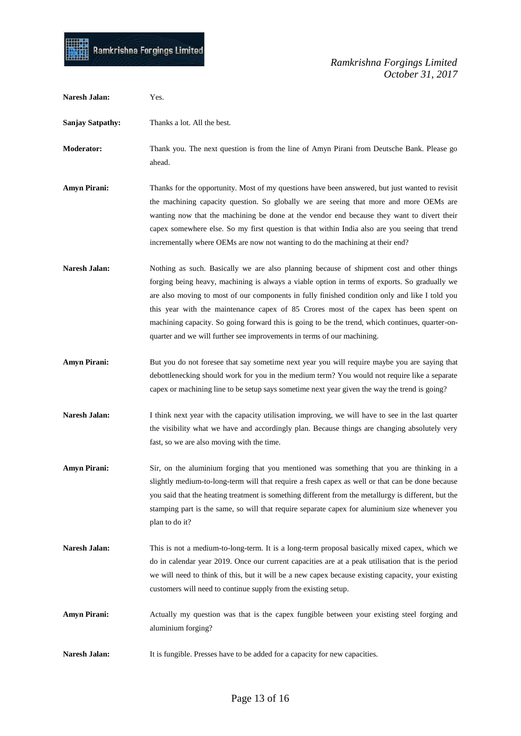

| <b>Naresh Jalan:</b>    | Yes.                                                                                                                                                                                                                                                                                                                                                                                                                                                                                                                                                                 |
|-------------------------|----------------------------------------------------------------------------------------------------------------------------------------------------------------------------------------------------------------------------------------------------------------------------------------------------------------------------------------------------------------------------------------------------------------------------------------------------------------------------------------------------------------------------------------------------------------------|
| <b>Sanjay Satpathy:</b> | Thanks a lot. All the best.                                                                                                                                                                                                                                                                                                                                                                                                                                                                                                                                          |
| <b>Moderator:</b>       | Thank you. The next question is from the line of Amyn Pirani from Deutsche Bank. Please go<br>ahead.                                                                                                                                                                                                                                                                                                                                                                                                                                                                 |
| <b>Amyn Pirani:</b>     | Thanks for the opportunity. Most of my questions have been answered, but just wanted to revisit<br>the machining capacity question. So globally we are seeing that more and more OEMs are<br>wanting now that the machining be done at the vendor end because they want to divert their<br>capex somewhere else. So my first question is that within India also are you seeing that trend<br>incrementally where OEMs are now not wanting to do the machining at their end?                                                                                          |
| <b>Naresh Jalan:</b>    | Nothing as such. Basically we are also planning because of shipment cost and other things<br>forging being heavy, machining is always a viable option in terms of exports. So gradually we<br>are also moving to most of our components in fully finished condition only and like I told you<br>this year with the maintenance capex of 85 Crores most of the capex has been spent on<br>machining capacity. So going forward this is going to be the trend, which continues, quarter-on-<br>quarter and we will further see improvements in terms of our machining. |
| <b>Amyn Pirani:</b>     | But you do not foresee that say sometime next year you will require maybe you are saying that<br>debottlenecking should work for you in the medium term? You would not require like a separate<br>capex or machining line to be setup says sometime next year given the way the trend is going?                                                                                                                                                                                                                                                                      |
| Naresh Jalan:           | I think next year with the capacity utilisation improving, we will have to see in the last quarter<br>the visibility what we have and accordingly plan. Because things are changing absolutely very<br>fast, so we are also moving with the time.                                                                                                                                                                                                                                                                                                                    |
| <b>Amyn Pirani:</b>     | Sir, on the aluminium forging that you mentioned was something that you are thinking in a<br>slightly medium-to-long-term will that require a fresh capex as well or that can be done because<br>you said that the heating treatment is something different from the metallurgy is different, but the<br>stamping part is the same, so will that require separate capex for aluminium size whenever you<br>plan to do it?                                                                                                                                            |
| Naresh Jalan:           | This is not a medium-to-long-term. It is a long-term proposal basically mixed capex, which we<br>do in calendar year 2019. Once our current capacities are at a peak utilisation that is the period<br>we will need to think of this, but it will be a new capex because existing capacity, your existing<br>customers will need to continue supply from the existing setup.                                                                                                                                                                                         |
| <b>Amyn Pirani:</b>     | Actually my question was that is the capex fungible between your existing steel forging and<br>aluminium forging?                                                                                                                                                                                                                                                                                                                                                                                                                                                    |
| Naresh Jalan:           | It is fungible. Presses have to be added for a capacity for new capacities.                                                                                                                                                                                                                                                                                                                                                                                                                                                                                          |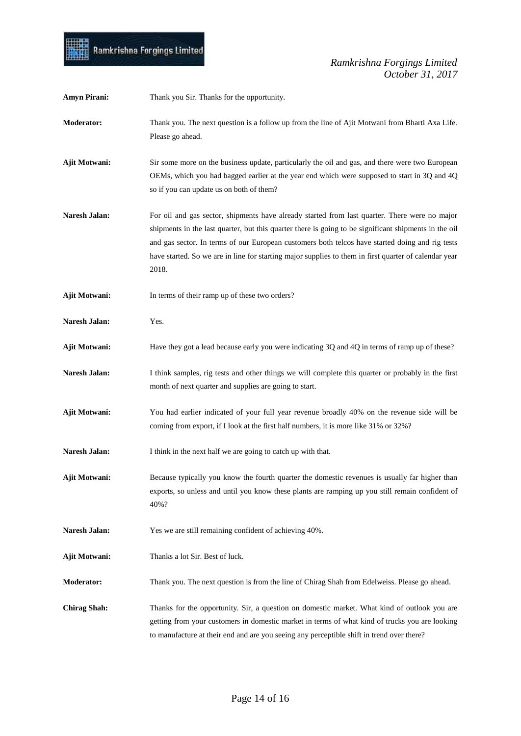

| <b>Amyn Pirani:</b>  | Thank you Sir. Thanks for the opportunity.                                                                                                                                                                                                                                                                                                                                                                                  |
|----------------------|-----------------------------------------------------------------------------------------------------------------------------------------------------------------------------------------------------------------------------------------------------------------------------------------------------------------------------------------------------------------------------------------------------------------------------|
| Moderator:           | Thank you. The next question is a follow up from the line of Ajit Motwani from Bharti Axa Life.<br>Please go ahead.                                                                                                                                                                                                                                                                                                         |
| Ajit Motwani:        | Sir some more on the business update, particularly the oil and gas, and there were two European<br>OEMs, which you had bagged earlier at the year end which were supposed to start in 3Q and 4Q<br>so if you can update us on both of them?                                                                                                                                                                                 |
| <b>Naresh Jalan:</b> | For oil and gas sector, shipments have already started from last quarter. There were no major<br>shipments in the last quarter, but this quarter there is going to be significant shipments in the oil<br>and gas sector. In terms of our European customers both telcos have started doing and rig tests<br>have started. So we are in line for starting major supplies to them in first quarter of calendar year<br>2018. |
| Ajit Motwani:        | In terms of their ramp up of these two orders?                                                                                                                                                                                                                                                                                                                                                                              |
| Naresh Jalan:        | Yes.                                                                                                                                                                                                                                                                                                                                                                                                                        |
| Ajit Motwani:        | Have they got a lead because early you were indicating 3Q and 4Q in terms of ramp up of these?                                                                                                                                                                                                                                                                                                                              |
| Naresh Jalan:        | I think samples, rig tests and other things we will complete this quarter or probably in the first<br>month of next quarter and supplies are going to start.                                                                                                                                                                                                                                                                |
| Ajit Motwani:        | You had earlier indicated of your full year revenue broadly 40% on the revenue side will be<br>coming from export, if I look at the first half numbers, it is more like 31% or 32%?                                                                                                                                                                                                                                         |
| Naresh Jalan:        | I think in the next half we are going to catch up with that.                                                                                                                                                                                                                                                                                                                                                                |
| Ajit Motwani:        | Because typically you know the fourth quarter the domestic revenues is usually far higher than<br>exports, so unless and until you know these plants are ramping up you still remain confident of<br>40%?                                                                                                                                                                                                                   |
| Naresh Jalan:        | Yes we are still remaining confident of achieving 40%.                                                                                                                                                                                                                                                                                                                                                                      |
| <b>Ajit Motwani:</b> | Thanks a lot Sir. Best of luck.                                                                                                                                                                                                                                                                                                                                                                                             |
| <b>Moderator:</b>    | Thank you. The next question is from the line of Chirag Shah from Edelweiss. Please go ahead.                                                                                                                                                                                                                                                                                                                               |
| <b>Chirag Shah:</b>  | Thanks for the opportunity. Sir, a question on domestic market. What kind of outlook you are<br>getting from your customers in domestic market in terms of what kind of trucks you are looking<br>to manufacture at their end and are you seeing any perceptible shift in trend over there?                                                                                                                                 |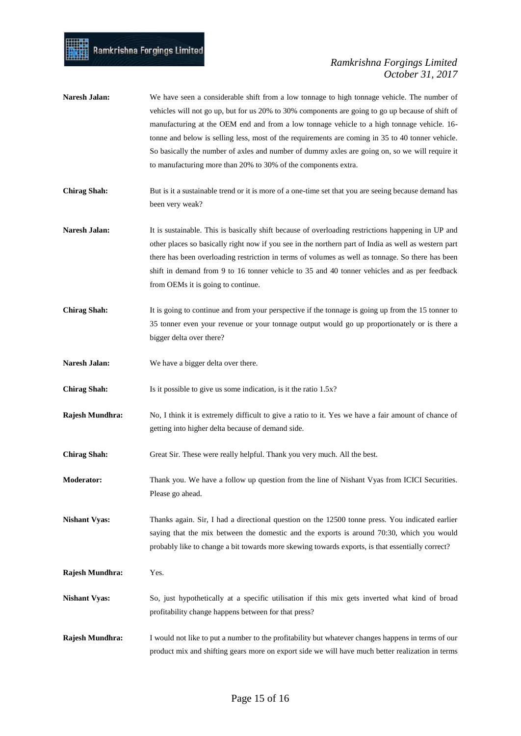- Naresh Jalan: We have seen a considerable shift from a low tonnage to high tonnage vehicle. The number of vehicles will not go up, but for us 20% to 30% components are going to go up because of shift of manufacturing at the OEM end and from a low tonnage vehicle to a high tonnage vehicle. 16 tonne and below is selling less, most of the requirements are coming in 35 to 40 tonner vehicle. So basically the number of axles and number of dummy axles are going on, so we will require it to manufacturing more than 20% to 30% of the components extra.
- **Chirag Shah:** But is it a sustainable trend or it is more of a one-time set that you are seeing because demand has been very weak?
- **Naresh Jalan:** It is sustainable. This is basically shift because of overloading restrictions happening in UP and other places so basically right now if you see in the northern part of India as well as western part there has been overloading restriction in terms of volumes as well as tonnage. So there has been shift in demand from 9 to 16 tonner vehicle to 35 and 40 tonner vehicles and as per feedback from OEMs it is going to continue.
- **Chirag Shah:** It is going to continue and from your perspective if the tonnage is going up from the 15 tonner to 35 tonner even your revenue or your tonnage output would go up proportionately or is there a bigger delta over there?
- **Naresh Jalan:** We have a bigger delta over there.
- **Chirag Shah:** Is it possible to give us some indication, is it the ratio 1.5x?
- **Rajesh Mundhra:** No, I think it is extremely difficult to give a ratio to it. Yes we have a fair amount of chance of getting into higher delta because of demand side.
- **Chirag Shah:** Great Sir. These were really helpful. Thank you very much. All the best.
- **Moderator:** Thank you. We have a follow up question from the line of Nishant Vyas from ICICI Securities. Please go ahead.

**Nishant Vyas:** Thanks again. Sir, I had a directional question on the 12500 tonne press. You indicated earlier saying that the mix between the domestic and the exports is around 70:30, which you would probably like to change a bit towards more skewing towards exports, is that essentially correct?

- **Rajesh Mundhra:** Yes.
- **Nishant Vyas:** So, just hypothetically at a specific utilisation if this mix gets inverted what kind of broad profitability change happens between for that press?
- **Rajesh Mundhra:** I would not like to put a number to the profitability but whatever changes happens in terms of our product mix and shifting gears more on export side we will have much better realization in terms